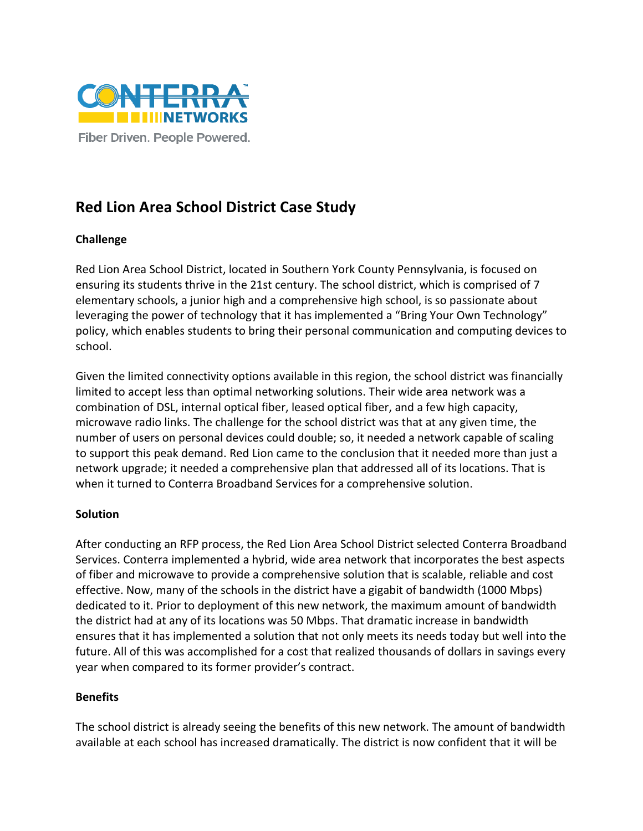

## **Red Lion Area School District Case Study**

## **Challenge**

Red Lion Area School District, located in Southern York County Pennsylvania, is focused on ensuring its students thrive in the 21st century. The school district, which is comprised of 7 elementary schools, a junior high and a comprehensive high school, is so passionate about leveraging the power of technology that it has implemented a "Bring Your Own Technology" policy, which enables students to bring their personal communication and computing devices to school.

Given the limited connectivity options available in this region, the school district was financially limited to accept less than optimal networking solutions. Their wide area network was a combination of DSL, internal optical fiber, leased optical fiber, and a few high capacity, microwave radio links. The challenge for the school district was that at any given time, the number of users on personal devices could double; so, it needed a network capable of scaling to support this peak demand. Red Lion came to the conclusion that it needed more than just a network upgrade; it needed a comprehensive plan that addressed all of its locations. That is when it turned to Conterra Broadband Services for a comprehensive solution.

## **Solution**

After conducting an RFP process, the Red Lion Area School District selected Conterra Broadband Services. Conterra implemented a hybrid, wide area network that incorporates the best aspects of fiber and microwave to provide a comprehensive solution that is scalable, reliable and cost effective. Now, many of the schools in the district have a gigabit of bandwidth (1000 Mbps) dedicated to it. Prior to deployment of this new network, the maximum amount of bandwidth the district had at any of its locations was 50 Mbps. That dramatic increase in bandwidth ensures that it has implemented a solution that not only meets its needs today but well into the future. All of this was accomplished for a cost that realized thousands of dollars in savings every year when compared to its former provider's contract.

## **Benefits**

The school district is already seeing the benefits of this new network. The amount of bandwidth available at each school has increased dramatically. The district is now confident that it will be